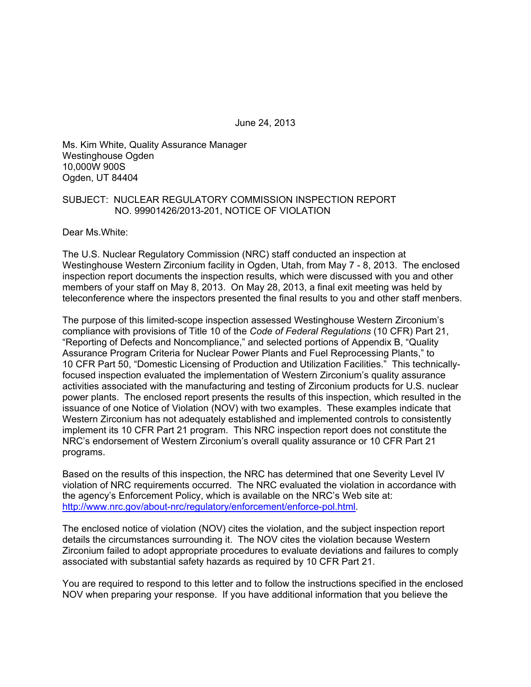June 24, 2013

Ms. Kim White, Quality Assurance Manager Westinghouse Ogden 10,000W 900S Ogden, UT 84404

#### SUBJECT: NUCLEAR REGULATORY COMMISSION INSPECTION REPORT NO. 99901426/2013-201, NOTICE OF VIOLATION

Dear Ms.White:

The U.S. Nuclear Regulatory Commission (NRC) staff conducted an inspection at Westinghouse Western Zirconium facility in Ogden, Utah, from May 7 - 8, 2013. The enclosed inspection report documents the inspection results, which were discussed with you and other members of your staff on May 8, 2013. On May 28, 2013, a final exit meeting was held by teleconference where the inspectors presented the final results to you and other staff menbers.

The purpose of this limited-scope inspection assessed Westinghouse Western Zirconium's compliance with provisions of Title 10 of the *Code of Federal Regulations* (10 CFR) Part 21, "Reporting of Defects and Noncompliance," and selected portions of Appendix B, "Quality Assurance Program Criteria for Nuclear Power Plants and Fuel Reprocessing Plants," to 10 CFR Part 50, "Domestic Licensing of Production and Utilization Facilities." This technicallyfocused inspection evaluated the implementation of Western Zirconium's quality assurance activities associated with the manufacturing and testing of Zirconium products for U.S. nuclear power plants. The enclosed report presents the results of this inspection, which resulted in the issuance of one Notice of Violation (NOV) with two examples. These examples indicate that Western Zirconium has not adequately established and implemented controls to consistently implement its 10 CFR Part 21 program. This NRC inspection report does not constitute the NRC's endorsement of Western Zirconium's overall quality assurance or 10 CFR Part 21 programs.

Based on the results of this inspection, the NRC has determined that one Severity Level IV violation of NRC requirements occurred. The NRC evaluated the violation in accordance with the agency's Enforcement Policy, which is available on the NRC's Web site at: http://www.nrc.gov/about-nrc/regulatory/enforcement/enforce-pol.html.

The enclosed notice of violation (NOV) cites the violation, and the subject inspection report details the circumstances surrounding it. The NOV cites the violation because Western Zirconium failed to adopt appropriate procedures to evaluate deviations and failures to comply associated with substantial safety hazards as required by 10 CFR Part 21.

You are required to respond to this letter and to follow the instructions specified in the enclosed NOV when preparing your response. If you have additional information that you believe the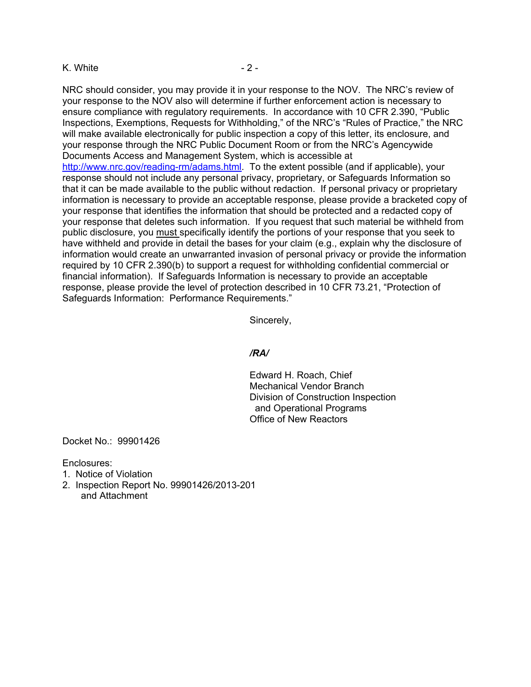#### K. White  $-2 -$

NRC should consider, you may provide it in your response to the NOV. The NRC's review of your response to the NOV also will determine if further enforcement action is necessary to ensure compliance with regulatory requirements. In accordance with 10 CFR 2.390, "Public Inspections, Exemptions, Requests for Withholding," of the NRC's "Rules of Practice," the NRC will make available electronically for public inspection a copy of this letter, its enclosure, and your response through the NRC Public Document Room or from the NRC's Agencywide Documents Access and Management System, which is accessible at http://www.nrc.gov/reading-rm/adams.html. To the extent possible (and if applicable), your response should not include any personal privacy, proprietary, or Safeguards Information so that it can be made available to the public without redaction. If personal privacy or proprietary information is necessary to provide an acceptable response, please provide a bracketed copy of your response that identifies the information that should be protected and a redacted copy of your response that deletes such information. If you request that such material be withheld from public disclosure, you must specifically identify the portions of your response that you seek to have withheld and provide in detail the bases for your claim (e.g., explain why the disclosure of information would create an unwarranted invasion of personal privacy or provide the information required by 10 CFR 2.390(b) to support a request for withholding confidential commercial or financial information). If Safeguards Information is necessary to provide an acceptable response, please provide the level of protection described in 10 CFR 73.21, "Protection of Safeguards Information: Performance Requirements."

Sincerely,

#### */RA/*

Edward H. Roach, Chief Mechanical Vendor Branch Division of Construction Inspection and Operational Programs Office of New Reactors

Docket No.: 99901426

Enclosures:

- 1. Notice of Violation
- 2. Inspection Report No. 99901426/2013-201 and Attachment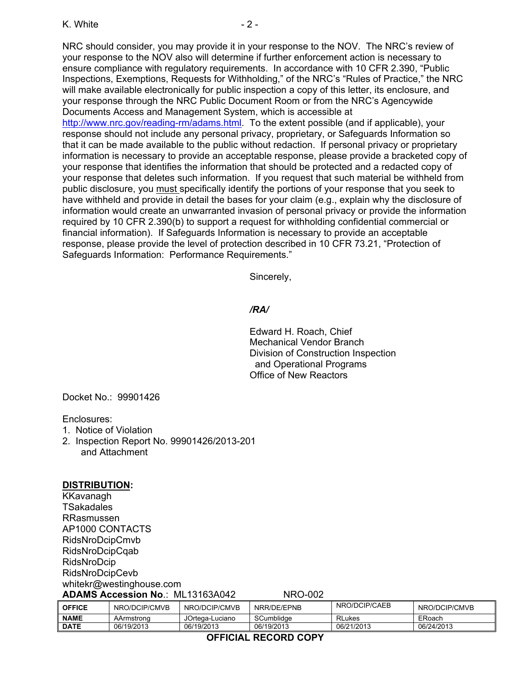NRC should consider, you may provide it in your response to the NOV. The NRC's review of your response to the NOV also will determine if further enforcement action is necessary to ensure compliance with regulatory requirements. In accordance with 10 CFR 2.390, "Public Inspections, Exemptions, Requests for Withholding," of the NRC's "Rules of Practice," the NRC will make available electronically for public inspection a copy of this letter, its enclosure, and your response through the NRC Public Document Room or from the NRC's Agencywide Documents Access and Management System, which is accessible at http://www.nrc.gov/reading-rm/adams.html. To the extent possible (and if applicable), your response should not include any personal privacy, proprietary, or Safeguards Information so that it can be made available to the public without redaction. If personal privacy or proprietary information is necessary to provide an acceptable response, please provide a bracketed copy of your response that identifies the information that should be protected and a redacted copy of your response that deletes such information. If you request that such material be withheld from public disclosure, you must specifically identify the portions of your response that you seek to have withheld and provide in detail the bases for your claim (e.g., explain why the disclosure of information would create an unwarranted invasion of personal privacy or provide the information required by 10 CFR 2.390(b) to support a request for withholding confidential commercial or financial information). If Safeguards Information is necessary to provide an acceptable response, please provide the level of protection described in 10 CFR 73.21, "Protection of Safeguards Information: Performance Requirements."

Sincerely,

#### */RA/*

Edward H. Roach, Chief Mechanical Vendor Branch Division of Construction Inspection and Operational Programs Office of New Reactors

Docket No.: 99901426

Enclosures:

- 1. Notice of Violation
- 2. Inspection Report No. 99901426/2013-201 and Attachment

#### **DISTRIBUTION:**

KKavanagh **TSakadales** RRasmussen AP1000 CONTACTS RidsNroDcipCmvb RidsNroDcipCqab RidsNroDcip RidsNroDcipCevb whitekr@westinghouse.com **ADAMS Accession No**.: ML13163A042 NRO-002

| <b>OFFICE</b> | NRO/DCIP/CMVB | NRO/DCIP/CMVB   | NRR/DE/EPNB | NRO/DCIP/CAEB | NRO/DCIP/CMVB |
|---------------|---------------|-----------------|-------------|---------------|---------------|
| <b>NAME</b>   | AArmstrona    | JOrtega-Luciano | SCumblidge  | <b>RLukes</b> | ERoach        |
| <b>DATE</b>   | 06/19/2013    | 06/19/2013      | 06/19/2013  | 06/21/2013    | 06/24/2013    |

#### **OFFICIAL RECORD COPY**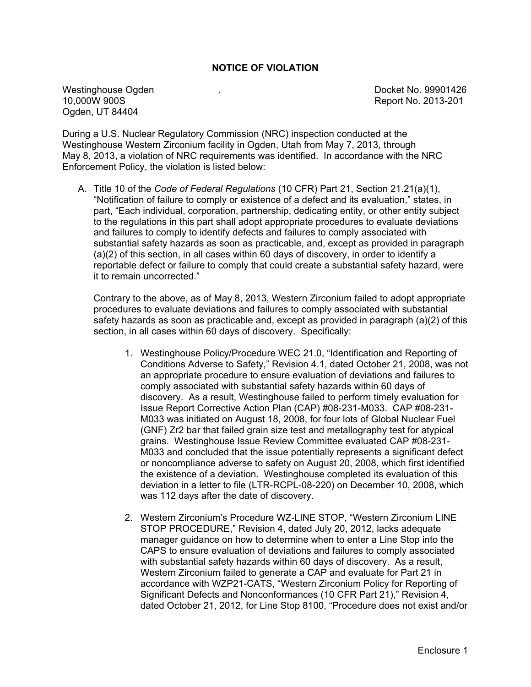#### **NOTICE OF VIOLATION**

Westinghouse Ogden . Docket No. 99901426 Ogden, UT 84404

Report No. 2013-201

During a U.S. Nuclear Regulatory Commission (NRC) inspection conducted at the Westinghouse Western Zirconium facility in Ogden, Utah from May 7, 2013, through May 8, 2013, a violation of NRC requirements was identified. In accordance with the NRC Enforcement Policy, the violation is listed below:

A. Title 10 of the *Code of Federal Regulations* (10 CFR) Part 21, Section 21.21(a)(1), "Notification of failure to comply or existence of a defect and its evaluation," states, in part, "Each individual, corporation, partnership, dedicating entity, or other entity subject to the regulations in this part shall adopt appropriate procedures to evaluate deviations and failures to comply to identify defects and failures to comply associated with substantial safety hazards as soon as practicable, and, except as provided in paragraph (a)(2) of this section, in all cases within 60 days of discovery, in order to identify a reportable defect or failure to comply that could create a substantial safety hazard, were it to remain uncorrected."

Contrary to the above, as of May 8, 2013, Western Zirconium failed to adopt appropriate procedures to evaluate deviations and failures to comply associated with substantial safety hazards as soon as practicable and, except as provided in paragraph (a)(2) of this section, in all cases within 60 days of discovery. Specifically:

- 1. Westinghouse Policy/Procedure WEC 21.0, "Identification and Reporting of Conditions Adverse to Safety," Revision 4.1, dated October 21, 2008, was not an appropriate procedure to ensure evaluation of deviations and failures to comply associated with substantial safety hazards within 60 days of discovery. As a result, Westinghouse failed to perform timely evaluation for Issue Report Corrective Action Plan (CAP) #08-231-M033. CAP #08-231- M033 was initiated on August 18, 2008, for four lots of Global Nuclear Fuel (GNF) Zr2 bar that failed grain size test and metallography test for atypical grains. Westinghouse Issue Review Committee evaluated CAP #08-231- M033 and concluded that the issue potentially represents a significant defect or noncompliance adverse to safety on August 20, 2008, which first identified the existence of a deviation. Westinghouse completed its evaluation of this deviation in a letter to file (LTR-RCPL-08-220) on December 10, 2008, which was 112 days after the date of discovery.
- 2. Western Zirconium's Procedure WZ-LINE STOP, "Western Zirconium LINE STOP PROCEDURE," Revision 4, dated July 20, 2012, lacks adequate manager guidance on how to determine when to enter a Line Stop into the CAPS to ensure evaluation of deviations and failures to comply associated with substantial safety hazards within 60 days of discovery. As a result, Western Zirconium failed to generate a CAP and evaluate for Part 21 in accordance with WZP21-CATS, "Western Zirconium Policy for Reporting of Significant Defects and Nonconformances (10 CFR Part 21)," Revision 4, dated October 21, 2012, for Line Stop 8100, "Procedure does not exist and/or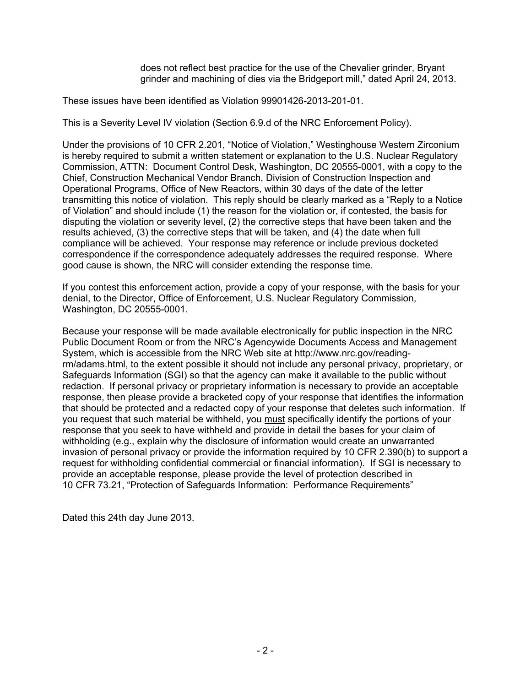does not reflect best practice for the use of the Chevalier grinder, Bryant grinder and machining of dies via the Bridgeport mill," dated April 24, 2013.

These issues have been identified as Violation 99901426-2013-201-01.

This is a Severity Level IV violation (Section 6.9.d of the NRC Enforcement Policy).

Under the provisions of 10 CFR 2.201, "Notice of Violation," Westinghouse Western Zirconium is hereby required to submit a written statement or explanation to the U.S. Nuclear Regulatory Commission, ATTN: Document Control Desk, Washington, DC 20555-0001, with a copy to the Chief, Construction Mechanical Vendor Branch, Division of Construction Inspection and Operational Programs, Office of New Reactors, within 30 days of the date of the letter transmitting this notice of violation. This reply should be clearly marked as a "Reply to a Notice of Violation" and should include (1) the reason for the violation or, if contested, the basis for disputing the violation or severity level, (2) the corrective steps that have been taken and the results achieved, (3) the corrective steps that will be taken, and (4) the date when full compliance will be achieved. Your response may reference or include previous docketed correspondence if the correspondence adequately addresses the required response. Where good cause is shown, the NRC will consider extending the response time.

If you contest this enforcement action, provide a copy of your response, with the basis for your denial, to the Director, Office of Enforcement, U.S. Nuclear Regulatory Commission, Washington, DC 20555-0001.

Because your response will be made available electronically for public inspection in the NRC Public Document Room or from the NRC's Agencywide Documents Access and Management System, which is accessible from the NRC Web site at http://www.nrc.gov/readingrm/adams.html, to the extent possible it should not include any personal privacy, proprietary, or Safeguards Information (SGI) so that the agency can make it available to the public without redaction. If personal privacy or proprietary information is necessary to provide an acceptable response, then please provide a bracketed copy of your response that identifies the information that should be protected and a redacted copy of your response that deletes such information. If you request that such material be withheld, you must specifically identify the portions of your response that you seek to have withheld and provide in detail the bases for your claim of withholding (e.g., explain why the disclosure of information would create an unwarranted invasion of personal privacy or provide the information required by 10 CFR 2.390(b) to support a request for withholding confidential commercial or financial information). If SGI is necessary to provide an acceptable response, please provide the level of protection described in 10 CFR 73.21, "Protection of Safeguards Information: Performance Requirements"

Dated this 24th day June 2013.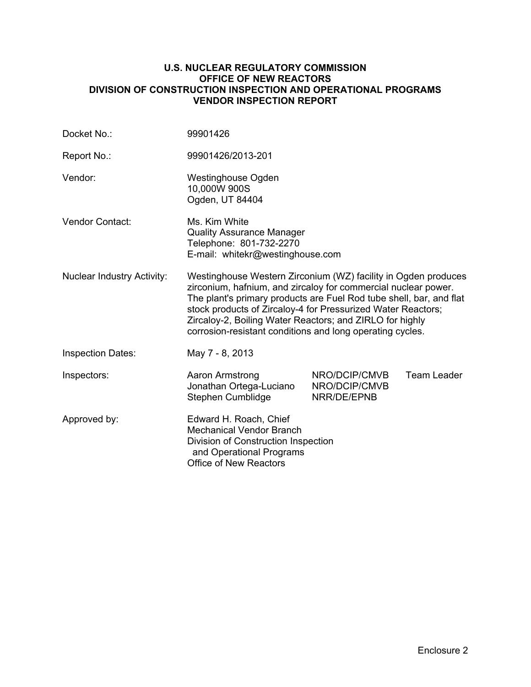#### **U.S. NUCLEAR REGULATORY COMMISSION OFFICE OF NEW REACTORS DIVISION OF CONSTRUCTION INSPECTION AND OPERATIONAL PROGRAMS VENDOR INSPECTION REPORT**

| Docket No.:                       | 99901426                                                                                                                                                                                                                                                                                                                                                                                         |                                               |             |
|-----------------------------------|--------------------------------------------------------------------------------------------------------------------------------------------------------------------------------------------------------------------------------------------------------------------------------------------------------------------------------------------------------------------------------------------------|-----------------------------------------------|-------------|
| Report No.:                       | 99901426/2013-201                                                                                                                                                                                                                                                                                                                                                                                |                                               |             |
| Vendor:                           | <b>Westinghouse Ogden</b><br>10,000W 900S<br>Ogden, UT 84404                                                                                                                                                                                                                                                                                                                                     |                                               |             |
| <b>Vendor Contact:</b>            | Ms. Kim White<br><b>Quality Assurance Manager</b><br>Telephone: 801-732-2270<br>E-mail: whitekr@westinghouse.com                                                                                                                                                                                                                                                                                 |                                               |             |
| <b>Nuclear Industry Activity:</b> | Westinghouse Western Zirconium (WZ) facility in Ogden produces<br>zirconium, hafnium, and zircaloy for commercial nuclear power.<br>The plant's primary products are Fuel Rod tube shell, bar, and flat<br>stock products of Zircaloy-4 for Pressurized Water Reactors;<br>Zircaloy-2, Boiling Water Reactors; and ZIRLO for highly<br>corrosion-resistant conditions and long operating cycles. |                                               |             |
| <b>Inspection Dates:</b>          | May 7 - 8, 2013                                                                                                                                                                                                                                                                                                                                                                                  |                                               |             |
| Inspectors:                       | Aaron Armstrong<br>Jonathan Ortega-Luciano<br>Stephen Cumblidge                                                                                                                                                                                                                                                                                                                                  | NRO/DCIP/CMVB<br>NRO/DCIP/CMVB<br>NRR/DE/EPNB | Team Leader |
| Approved by:                      | Edward H. Roach, Chief<br><b>Mechanical Vendor Branch</b><br>Division of Construction Inspection<br>and Operational Programs<br><b>Office of New Reactors</b>                                                                                                                                                                                                                                    |                                               |             |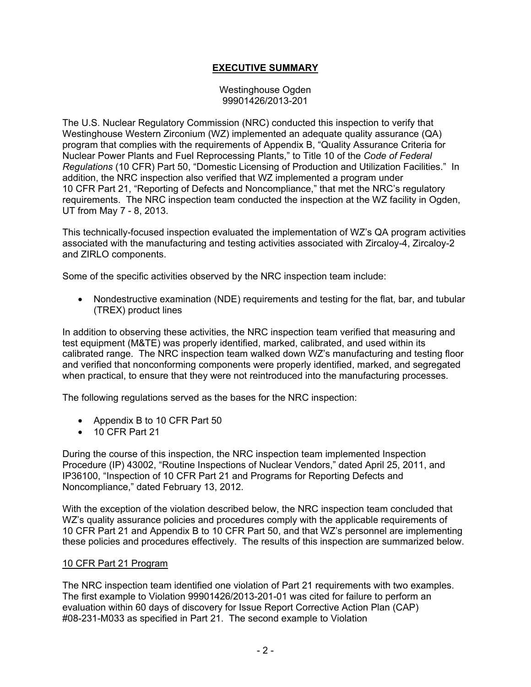## **EXECUTIVE SUMMARY**

Westinghouse Ogden 99901426/2013-201

The U.S. Nuclear Regulatory Commission (NRC) conducted this inspection to verify that Westinghouse Western Zirconium (WZ) implemented an adequate quality assurance (QA) program that complies with the requirements of Appendix B, "Quality Assurance Criteria for Nuclear Power Plants and Fuel Reprocessing Plants," to Title 10 of the *Code of Federal Regulations* (10 CFR) Part 50, "Domestic Licensing of Production and Utilization Facilities." In addition, the NRC inspection also verified that WZ implemented a program under 10 CFR Part 21, "Reporting of Defects and Noncompliance," that met the NRC's regulatory requirements. The NRC inspection team conducted the inspection at the WZ facility in Ogden, UT from May 7 - 8, 2013.

This technically-focused inspection evaluated the implementation of WZ's QA program activities associated with the manufacturing and testing activities associated with Zircaloy-4, Zircaloy-2 and ZIRLO components.

Some of the specific activities observed by the NRC inspection team include:

• Nondestructive examination (NDE) requirements and testing for the flat, bar, and tubular (TREX) product lines

In addition to observing these activities, the NRC inspection team verified that measuring and test equipment (M&TE) was properly identified, marked, calibrated, and used within its calibrated range. The NRC inspection team walked down WZ's manufacturing and testing floor and verified that nonconforming components were properly identified, marked, and segregated when practical, to ensure that they were not reintroduced into the manufacturing processes.

The following regulations served as the bases for the NRC inspection:

- Appendix B to 10 CFR Part 50
- 10 CFR Part 21

During the course of this inspection, the NRC inspection team implemented Inspection Procedure (IP) 43002, "Routine Inspections of Nuclear Vendors," dated April 25, 2011, and IP36100, "Inspection of 10 CFR Part 21 and Programs for Reporting Defects and Noncompliance," dated February 13, 2012.

With the exception of the violation described below, the NRC inspection team concluded that WZ's quality assurance policies and procedures comply with the applicable requirements of 10 CFR Part 21 and Appendix B to 10 CFR Part 50, and that WZ's personnel are implementing these policies and procedures effectively. The results of this inspection are summarized below.

#### 10 CFR Part 21 Program

The NRC inspection team identified one violation of Part 21 requirements with two examples. The first example to Violation 99901426/2013-201-01 was cited for failure to perform an evaluation within 60 days of discovery for Issue Report Corrective Action Plan (CAP) #08-231-M033 as specified in Part 21. The second example to Violation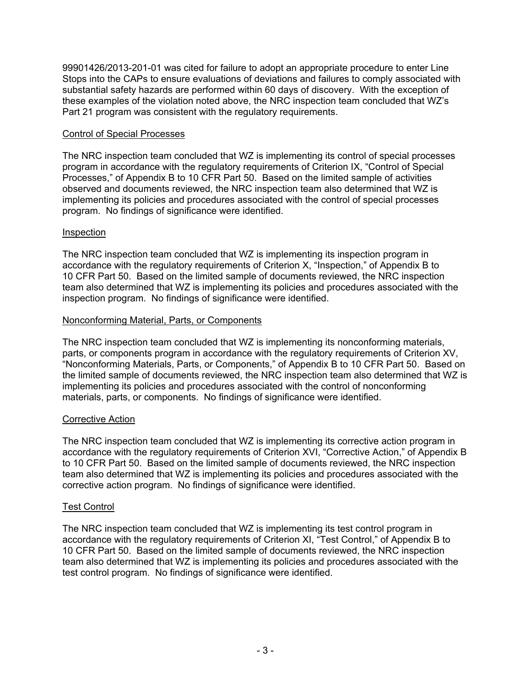99901426/2013-201-01 was cited for failure to adopt an appropriate procedure to enter Line Stops into the CAPs to ensure evaluations of deviations and failures to comply associated with substantial safety hazards are performed within 60 days of discovery. With the exception of these examples of the violation noted above, the NRC inspection team concluded that WZ's Part 21 program was consistent with the regulatory requirements.

#### Control of Special Processes

The NRC inspection team concluded that WZ is implementing its control of special processes program in accordance with the regulatory requirements of Criterion IX, "Control of Special Processes," of Appendix B to 10 CFR Part 50. Based on the limited sample of activities observed and documents reviewed, the NRC inspection team also determined that WZ is implementing its policies and procedures associated with the control of special processes program. No findings of significance were identified.

#### **Inspection**

The NRC inspection team concluded that WZ is implementing its inspection program in accordance with the regulatory requirements of Criterion X, "Inspection," of Appendix B to 10 CFR Part 50. Based on the limited sample of documents reviewed, the NRC inspection team also determined that WZ is implementing its policies and procedures associated with the inspection program. No findings of significance were identified.

#### Nonconforming Material, Parts, or Components

The NRC inspection team concluded that WZ is implementing its nonconforming materials, parts, or components program in accordance with the regulatory requirements of Criterion XV, "Nonconforming Materials, Parts, or Components," of Appendix B to 10 CFR Part 50. Based on the limited sample of documents reviewed, the NRC inspection team also determined that WZ is implementing its policies and procedures associated with the control of nonconforming materials, parts, or components. No findings of significance were identified.

## Corrective Action

The NRC inspection team concluded that WZ is implementing its corrective action program in accordance with the regulatory requirements of Criterion XVI, "Corrective Action," of Appendix B to 10 CFR Part 50. Based on the limited sample of documents reviewed, the NRC inspection team also determined that WZ is implementing its policies and procedures associated with the corrective action program. No findings of significance were identified.

## Test Control

The NRC inspection team concluded that WZ is implementing its test control program in accordance with the regulatory requirements of Criterion XI, "Test Control," of Appendix B to 10 CFR Part 50. Based on the limited sample of documents reviewed, the NRC inspection team also determined that WZ is implementing its policies and procedures associated with the test control program. No findings of significance were identified.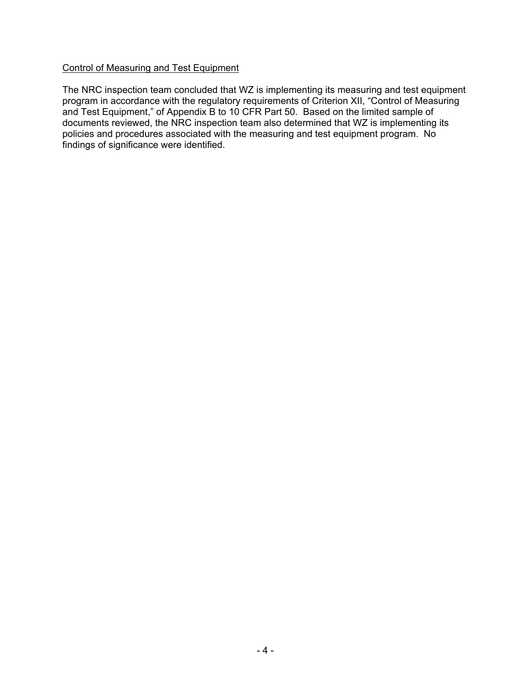#### Control of Measuring and Test Equipment

The NRC inspection team concluded that WZ is implementing its measuring and test equipment program in accordance with the regulatory requirements of Criterion XII, "Control of Measuring and Test Equipment," of Appendix B to 10 CFR Part 50. Based on the limited sample of documents reviewed, the NRC inspection team also determined that WZ is implementing its policies and procedures associated with the measuring and test equipment program. No findings of significance were identified.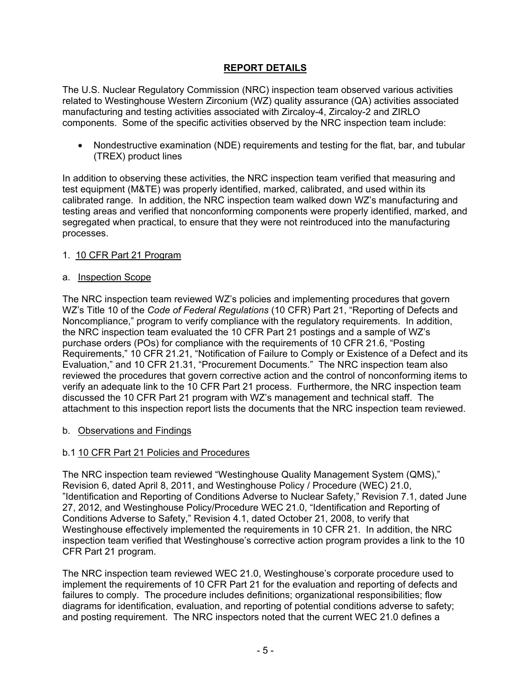## **REPORT DETAILS**

The U.S. Nuclear Regulatory Commission (NRC) inspection team observed various activities related to Westinghouse Western Zirconium (WZ) quality assurance (QA) activities associated manufacturing and testing activities associated with Zircaloy-4, Zircaloy-2 and ZIRLO components. Some of the specific activities observed by the NRC inspection team include:

• Nondestructive examination (NDE) requirements and testing for the flat, bar, and tubular (TREX) product lines

In addition to observing these activities, the NRC inspection team verified that measuring and test equipment (M&TE) was properly identified, marked, calibrated, and used within its calibrated range. In addition, the NRC inspection team walked down WZ's manufacturing and testing areas and verified that nonconforming components were properly identified, marked, and segregated when practical, to ensure that they were not reintroduced into the manufacturing processes.

#### 1. 10 CFR Part 21 Program

#### a. Inspection Scope

The NRC inspection team reviewed WZ's policies and implementing procedures that govern WZ's Title 10 of the *Code of Federal Regulations* (10 CFR) Part 21, "Reporting of Defects and Noncompliance," program to verify compliance with the regulatory requirements. In addition, the NRC inspection team evaluated the 10 CFR Part 21 postings and a sample of WZ's purchase orders (POs) for compliance with the requirements of 10 CFR 21.6, "Posting Requirements," 10 CFR 21.21, "Notification of Failure to Comply or Existence of a Defect and its Evaluation," and 10 CFR 21.31, "Procurement Documents." The NRC inspection team also reviewed the procedures that govern corrective action and the control of nonconforming items to verify an adequate link to the 10 CFR Part 21 process. Furthermore, the NRC inspection team discussed the 10 CFR Part 21 program with WZ's management and technical staff. The attachment to this inspection report lists the documents that the NRC inspection team reviewed.

#### b. Observations and Findings

#### b.1 10 CFR Part 21 Policies and Procedures

The NRC inspection team reviewed "Westinghouse Quality Management System (QMS)," Revision 6, dated April 8, 2011, and Westinghouse Policy / Procedure (WEC) 21.0, "Identification and Reporting of Conditions Adverse to Nuclear Safety," Revision 7.1, dated June 27, 2012, and Westinghouse Policy/Procedure WEC 21.0, "Identification and Reporting of Conditions Adverse to Safety," Revision 4.1, dated October 21, 2008, to verify that Westinghouse effectively implemented the requirements in 10 CFR 21. In addition, the NRC inspection team verified that Westinghouse's corrective action program provides a link to the 10 CFR Part 21 program.

The NRC inspection team reviewed WEC 21.0, Westinghouse's corporate procedure used to implement the requirements of 10 CFR Part 21 for the evaluation and reporting of defects and failures to comply. The procedure includes definitions; organizational responsibilities; flow diagrams for identification, evaluation, and reporting of potential conditions adverse to safety; and posting requirement. The NRC inspectors noted that the current WEC 21.0 defines a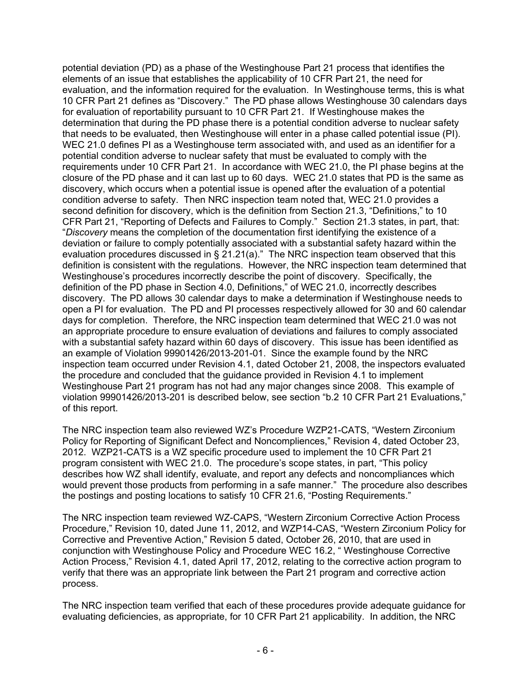potential deviation (PD) as a phase of the Westinghouse Part 21 process that identifies the elements of an issue that establishes the applicability of 10 CFR Part 21, the need for evaluation, and the information required for the evaluation. In Westinghouse terms, this is what 10 CFR Part 21 defines as "Discovery." The PD phase allows Westinghouse 30 calendars days for evaluation of reportability pursuant to 10 CFR Part 21. If Westinghouse makes the determination that during the PD phase there is a potential condition adverse to nuclear safety that needs to be evaluated, then Westinghouse will enter in a phase called potential issue (PI). WEC 21.0 defines PI as a Westinghouse term associated with, and used as an identifier for a potential condition adverse to nuclear safety that must be evaluated to comply with the requirements under 10 CFR Part 21. In accordance with WEC 21.0, the PI phase begins at the closure of the PD phase and it can last up to 60 days. WEC 21.0 states that PD is the same as discovery, which occurs when a potential issue is opened after the evaluation of a potential condition adverse to safety. Then NRC inspection team noted that, WEC 21.0 provides a second definition for discovery, which is the definition from Section 21.3, "Definitions," to 10 CFR Part 21, "Reporting of Defects and Failures to Comply." Section 21.3 states, in part, that: "*Discovery* means the completion of the documentation first identifying the existence of a deviation or failure to comply potentially associated with a substantial safety hazard within the evaluation procedures discussed in § 21.21(a)." The NRC inspection team observed that this definition is consistent with the regulations. However, the NRC inspection team determined that Westinghouse's procedures incorrectly describe the point of discovery. Specifically, the definition of the PD phase in Section 4.0, Definitions," of WEC 21.0, incorrectly describes discovery. The PD allows 30 calendar days to make a determination if Westinghouse needs to open a PI for evaluation. The PD and PI processes respectively allowed for 30 and 60 calendar days for completion. Therefore, the NRC inspection team determined that WEC 21.0 was not an appropriate procedure to ensure evaluation of deviations and failures to comply associated with a substantial safety hazard within 60 days of discovery. This issue has been identified as an example of Violation 99901426/2013-201-01. Since the example found by the NRC inspection team occurred under Revision 4.1, dated October 21, 2008, the inspectors evaluated the procedure and concluded that the guidance provided in Revision 4.1 to implement Westinghouse Part 21 program has not had any major changes since 2008. This example of violation 99901426/2013-201 is described below, see section "b.2 10 CFR Part 21 Evaluations," of this report.

The NRC inspection team also reviewed WZ's Procedure WZP21-CATS, "Western Zirconium Policy for Reporting of Significant Defect and Noncompliences," Revision 4, dated October 23, 2012. WZP21-CATS is a WZ specific procedure used to implement the 10 CFR Part 21 program consistent with WEC 21.0. The procedure's scope states, in part, "This policy describes how WZ shall identify, evaluate, and report any defects and noncompliances which would prevent those products from performing in a safe manner." The procedure also describes the postings and posting locations to satisfy 10 CFR 21.6, "Posting Requirements."

The NRC inspection team reviewed WZ-CAPS, "Western Zirconium Corrective Action Process Procedure," Revision 10, dated June 11, 2012, and WZP14-CAS, "Western Zirconium Policy for Corrective and Preventive Action," Revision 5 dated, October 26, 2010, that are used in conjunction with Westinghouse Policy and Procedure WEC 16.2, " Westinghouse Corrective Action Process," Revision 4.1, dated April 17, 2012, relating to the corrective action program to verify that there was an appropriate link between the Part 21 program and corrective action process.

The NRC inspection team verified that each of these procedures provide adequate guidance for evaluating deficiencies, as appropriate, for 10 CFR Part 21 applicability. In addition, the NRC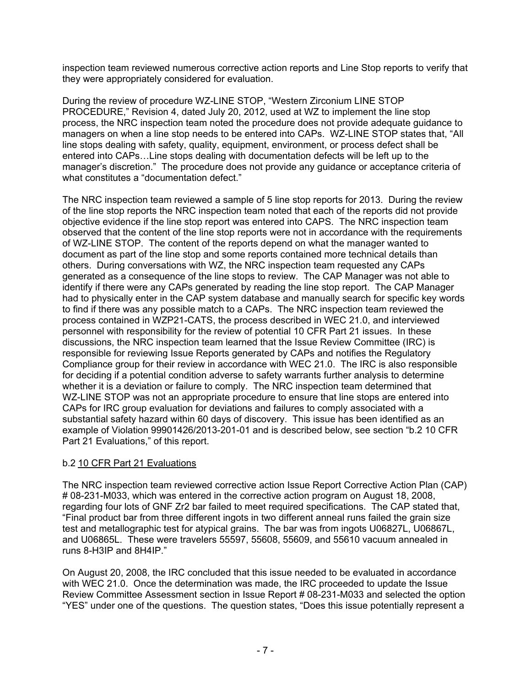inspection team reviewed numerous corrective action reports and Line Stop reports to verify that they were appropriately considered for evaluation.

During the review of procedure WZ-LINE STOP, "Western Zirconium LINE STOP PROCEDURE," Revision 4, dated July 20, 2012, used at WZ to implement the line stop process, the NRC inspection team noted the procedure does not provide adequate guidance to managers on when a line stop needs to be entered into CAPs. WZ-LINE STOP states that, "All line stops dealing with safety, quality, equipment, environment, or process defect shall be entered into CAPs…Line stops dealing with documentation defects will be left up to the manager's discretion." The procedure does not provide any guidance or acceptance criteria of what constitutes a "documentation defect."

The NRC inspection team reviewed a sample of 5 line stop reports for 2013. During the review of the line stop reports the NRC inspection team noted that each of the reports did not provide objective evidence if the line stop report was entered into CAPS. The NRC inspection team observed that the content of the line stop reports were not in accordance with the requirements of WZ-LINE STOP. The content of the reports depend on what the manager wanted to document as part of the line stop and some reports contained more technical details than others. During conversations with WZ, the NRC inspection team requested any CAPs generated as a consequence of the line stops to review. The CAP Manager was not able to identify if there were any CAPs generated by reading the line stop report. The CAP Manager had to physically enter in the CAP system database and manually search for specific key words to find if there was any possible match to a CAPs. The NRC inspection team reviewed the process contained in WZP21-CATS, the process described in WEC 21.0, and interviewed personnel with responsibility for the review of potential 10 CFR Part 21 issues. In these discussions, the NRC inspection team learned that the Issue Review Committee (IRC) is responsible for reviewing Issue Reports generated by CAPs and notifies the Regulatory Compliance group for their review in accordance with WEC 21.0. The IRC is also responsible for deciding if a potential condition adverse to safety warrants further analysis to determine whether it is a deviation or failure to comply. The NRC inspection team determined that WZ-LINE STOP was not an appropriate procedure to ensure that line stops are entered into CAPs for IRC group evaluation for deviations and failures to comply associated with a substantial safety hazard within 60 days of discovery. This issue has been identified as an example of Violation 99901426/2013-201-01 and is described below, see section "b.2 10 CFR Part 21 Evaluations," of this report.

## b.2 10 CFR Part 21 Evaluations

The NRC inspection team reviewed corrective action Issue Report Corrective Action Plan (CAP) # 08-231-M033, which was entered in the corrective action program on August 18, 2008, regarding four lots of GNF Zr2 bar failed to meet required specifications. The CAP stated that, "Final product bar from three different ingots in two different anneal runs failed the grain size test and metallographic test for atypical grains. The bar was from ingots U06827L, U06867L, and U06865L. These were travelers 55597, 55608, 55609, and 55610 vacuum annealed in runs 8-H3IP and 8H4IP."

On August 20, 2008, the IRC concluded that this issue needed to be evaluated in accordance with WEC 21.0. Once the determination was made, the IRC proceeded to update the Issue Review Committee Assessment section in Issue Report # 08-231-M033 and selected the option "YES" under one of the questions. The question states, "Does this issue potentially represent a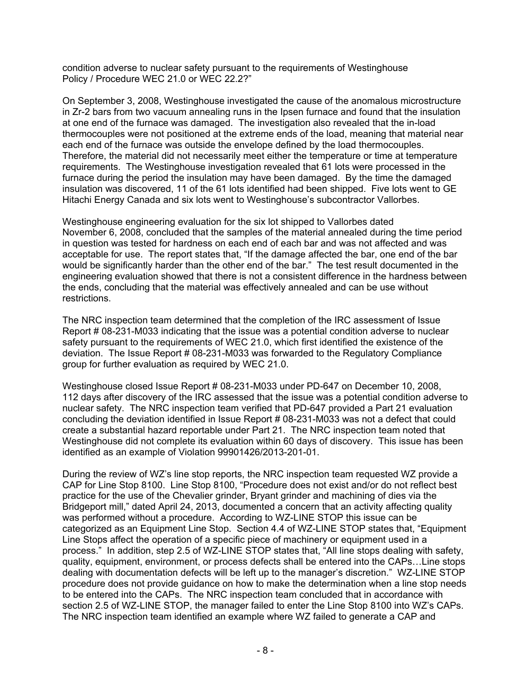condition adverse to nuclear safety pursuant to the requirements of Westinghouse Policy / Procedure WEC 21.0 or WEC 22.2?"

On September 3, 2008, Westinghouse investigated the cause of the anomalous microstructure in Zr-2 bars from two vacuum annealing runs in the Ipsen furnace and found that the insulation at one end of the furnace was damaged. The investigation also revealed that the in-load thermocouples were not positioned at the extreme ends of the load, meaning that material near each end of the furnace was outside the envelope defined by the load thermocouples. Therefore, the material did not necessarily meet either the temperature or time at temperature requirements. The Westinghouse investigation revealed that 61 lots were processed in the furnace during the period the insulation may have been damaged. By the time the damaged insulation was discovered, 11 of the 61 lots identified had been shipped. Five lots went to GE Hitachi Energy Canada and six lots went to Westinghouse's subcontractor Vallorbes.

Westinghouse engineering evaluation for the six lot shipped to Vallorbes dated November 6, 2008, concluded that the samples of the material annealed during the time period in question was tested for hardness on each end of each bar and was not affected and was acceptable for use. The report states that, "If the damage affected the bar, one end of the bar would be significantly harder than the other end of the bar." The test result documented in the engineering evaluation showed that there is not a consistent difference in the hardness between the ends, concluding that the material was effectively annealed and can be use without restrictions.

The NRC inspection team determined that the completion of the IRC assessment of Issue Report # 08-231-M033 indicating that the issue was a potential condition adverse to nuclear safety pursuant to the requirements of WEC 21.0, which first identified the existence of the deviation. The Issue Report # 08-231-M033 was forwarded to the Regulatory Compliance group for further evaluation as required by WEC 21.0.

Westinghouse closed Issue Report # 08-231-M033 under PD-647 on December 10, 2008, 112 days after discovery of the IRC assessed that the issue was a potential condition adverse to nuclear safety. The NRC inspection team verified that PD-647 provided a Part 21 evaluation concluding the deviation identified in Issue Report # 08-231-M033 was not a defect that could create a substantial hazard reportable under Part 21. The NRC inspection team noted that Westinghouse did not complete its evaluation within 60 days of discovery. This issue has been identified as an example of Violation 99901426/2013-201-01.

During the review of WZ's line stop reports, the NRC inspection team requested WZ provide a CAP for Line Stop 8100. Line Stop 8100, "Procedure does not exist and/or do not reflect best practice for the use of the Chevalier grinder, Bryant grinder and machining of dies via the Bridgeport mill," dated April 24, 2013, documented a concern that an activity affecting quality was performed without a procedure. According to WZ-LINE STOP this issue can be categorized as an Equipment Line Stop. Section 4.4 of WZ-LINE STOP states that, "Equipment Line Stops affect the operation of a specific piece of machinery or equipment used in a process." In addition, step 2.5 of WZ-LINE STOP states that, "All line stops dealing with safety, quality, equipment, environment, or process defects shall be entered into the CAPs…Line stops dealing with documentation defects will be left up to the manager's discretion." WZ-LINE STOP procedure does not provide guidance on how to make the determination when a line stop needs to be entered into the CAPs. The NRC inspection team concluded that in accordance with section 2.5 of WZ-LINE STOP, the manager failed to enter the Line Stop 8100 into WZ's CAPs. The NRC inspection team identified an example where WZ failed to generate a CAP and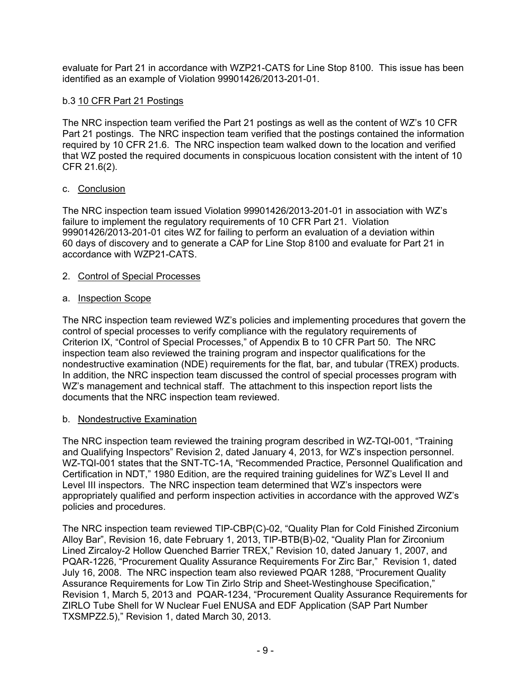evaluate for Part 21 in accordance with WZP21-CATS for Line Stop 8100. This issue has been identified as an example of Violation 99901426/2013-201-01.

## b.3 10 CFR Part 21 Postings

The NRC inspection team verified the Part 21 postings as well as the content of WZ's 10 CFR Part 21 postings. The NRC inspection team verified that the postings contained the information required by 10 CFR 21.6. The NRC inspection team walked down to the location and verified that WZ posted the required documents in conspicuous location consistent with the intent of 10 CFR 21.6(2).

#### c. Conclusion

The NRC inspection team issued Violation 99901426/2013-201-01 in association with WZ's failure to implement the regulatory requirements of 10 CFR Part 21. Violation 99901426/2013-201-01 cites WZ for failing to perform an evaluation of a deviation within 60 days of discovery and to generate a CAP for Line Stop 8100 and evaluate for Part 21 in accordance with WZP21-CATS.

#### 2. Control of Special Processes

#### a. Inspection Scope

The NRC inspection team reviewed WZ's policies and implementing procedures that govern the control of special processes to verify compliance with the regulatory requirements of Criterion IX, "Control of Special Processes," of Appendix B to 10 CFR Part 50. The NRC inspection team also reviewed the training program and inspector qualifications for the nondestructive examination (NDE) requirements for the flat, bar, and tubular (TREX) products. In addition, the NRC inspection team discussed the control of special processes program with WZ's management and technical staff. The attachment to this inspection report lists the documents that the NRC inspection team reviewed.

#### b. Nondestructive Examination

The NRC inspection team reviewed the training program described in WZ-TQI-001, "Training and Qualifying Inspectors" Revision 2, dated January 4, 2013, for WZ's inspection personnel. WZ-TQI-001 states that the SNT-TC-1A, "Recommended Practice, Personnel Qualification and Certification in NDT," 1980 Edition, are the required training guidelines for WZ's Level II and Level III inspectors. The NRC inspection team determined that WZ's inspectors were appropriately qualified and perform inspection activities in accordance with the approved WZ's policies and procedures.

The NRC inspection team reviewed TIP-CBP(C)-02, "Quality Plan for Cold Finished Zirconium Alloy Bar", Revision 16, date February 1, 2013, TIP-BTB(B)-02, "Quality Plan for Zirconium Lined Zircaloy-2 Hollow Quenched Barrier TREX," Revision 10, dated January 1, 2007, and PQAR-1226, "Procurement Quality Assurance Requirements For Zirc Bar," Revision 1, dated July 16, 2008. The NRC inspection team also reviewed PQAR 1288, "Procurement Quality Assurance Requirements for Low Tin Zirlo Strip and Sheet-Westinghouse Specification," Revision 1, March 5, 2013 and PQAR-1234, "Procurement Quality Assurance Requirements for ZIRLO Tube Shell for W Nuclear Fuel ENUSA and EDF Application (SAP Part Number TXSMPZ2.5)," Revision 1, dated March 30, 2013.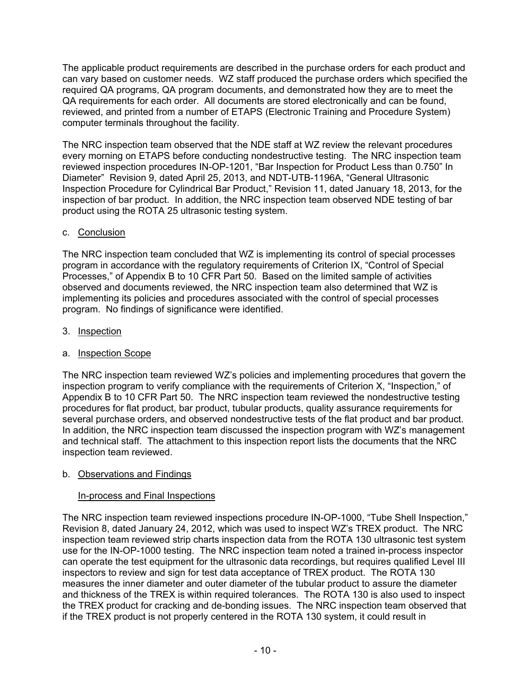The applicable product requirements are described in the purchase orders for each product and can vary based on customer needs. WZ staff produced the purchase orders which specified the required QA programs, QA program documents, and demonstrated how they are to meet the QA requirements for each order. All documents are stored electronically and can be found, reviewed, and printed from a number of ETAPS (Electronic Training and Procedure System) computer terminals throughout the facility.

The NRC inspection team observed that the NDE staff at WZ review the relevant procedures every morning on ETAPS before conducting nondestructive testing. The NRC inspection team reviewed inspection procedures IN-OP-1201, "Bar Inspection for Product Less than 0.750" In Diameter" Revision 9, dated April 25, 2013, and NDT-UTB-1196A, "General Ultrasonic Inspection Procedure for Cylindrical Bar Product," Revision 11, dated January 18, 2013, for the inspection of bar product. In addition, the NRC inspection team observed NDE testing of bar product using the ROTA 25 ultrasonic testing system.

## c. Conclusion

The NRC inspection team concluded that WZ is implementing its control of special processes program in accordance with the regulatory requirements of Criterion IX, "Control of Special Processes," of Appendix B to 10 CFR Part 50. Based on the limited sample of activities observed and documents reviewed, the NRC inspection team also determined that WZ is implementing its policies and procedures associated with the control of special processes program. No findings of significance were identified.

## 3. Inspection

## a. Inspection Scope

The NRC inspection team reviewed WZ's policies and implementing procedures that govern the inspection program to verify compliance with the requirements of Criterion X, "Inspection," of Appendix B to 10 CFR Part 50. The NRC inspection team reviewed the nondestructive testing procedures for flat product, bar product, tubular products, quality assurance requirements for several purchase orders, and observed nondestructive tests of the flat product and bar product. In addition, the NRC inspection team discussed the inspection program with WZ's management and technical staff. The attachment to this inspection report lists the documents that the NRC inspection team reviewed.

## b. Observations and Findings

# In-process and Final Inspections

The NRC inspection team reviewed inspections procedure IN-OP-1000, "Tube Shell Inspection," Revision 8, dated January 24, 2012, which was used to inspect WZ's TREX product. The NRC inspection team reviewed strip charts inspection data from the ROTA 130 ultrasonic test system use for the IN-OP-1000 testing. The NRC inspection team noted a trained in-process inspector can operate the test equipment for the ultrasonic data recordings, but requires qualified Level III inspectors to review and sign for test data acceptance of TREX product. The ROTA 130 measures the inner diameter and outer diameter of the tubular product to assure the diameter and thickness of the TREX is within required tolerances. The ROTA 130 is also used to inspect the TREX product for cracking and de-bonding issues. The NRC inspection team observed that if the TREX product is not properly centered in the ROTA 130 system, it could result in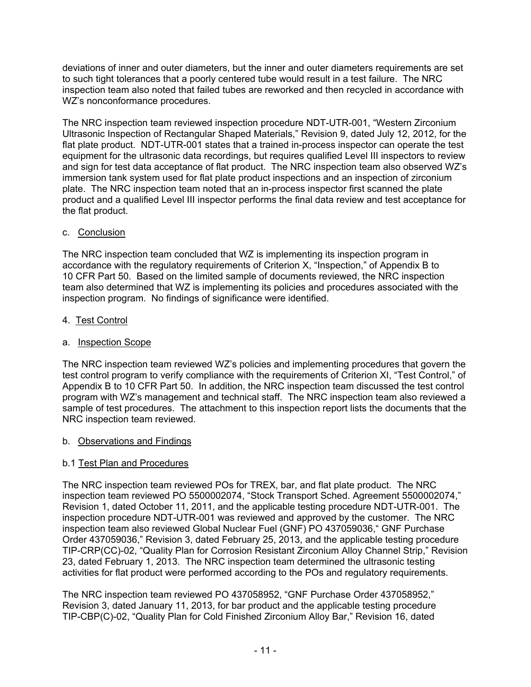deviations of inner and outer diameters, but the inner and outer diameters requirements are set to such tight tolerances that a poorly centered tube would result in a test failure. The NRC inspection team also noted that failed tubes are reworked and then recycled in accordance with WZ's nonconformance procedures.

The NRC inspection team reviewed inspection procedure NDT-UTR-001, "Western Zirconium Ultrasonic Inspection of Rectangular Shaped Materials," Revision 9, dated July 12, 2012, for the flat plate product. NDT-UTR-001 states that a trained in-process inspector can operate the test equipment for the ultrasonic data recordings, but requires qualified Level III inspectors to review and sign for test data acceptance of flat product. The NRC inspection team also observed WZ's immersion tank system used for flat plate product inspections and an inspection of zirconium plate. The NRC inspection team noted that an in-process inspector first scanned the plate product and a qualified Level III inspector performs the final data review and test acceptance for the flat product.

#### c. Conclusion

The NRC inspection team concluded that WZ is implementing its inspection program in accordance with the regulatory requirements of Criterion X, "Inspection," of Appendix B to 10 CFR Part 50. Based on the limited sample of documents reviewed, the NRC inspection team also determined that WZ is implementing its policies and procedures associated with the inspection program. No findings of significance were identified.

#### 4. Test Control

#### a. Inspection Scope

The NRC inspection team reviewed WZ's policies and implementing procedures that govern the test control program to verify compliance with the requirements of Criterion XI, "Test Control," of Appendix B to 10 CFR Part 50. In addition, the NRC inspection team discussed the test control program with WZ's management and technical staff. The NRC inspection team also reviewed a sample of test procedures. The attachment to this inspection report lists the documents that the NRC inspection team reviewed.

#### b. Observations and Findings

## b.1 Test Plan and Procedures

The NRC inspection team reviewed POs for TREX, bar, and flat plate product. The NRC inspection team reviewed PO 5500002074, "Stock Transport Sched. Agreement 5500002074," Revision 1, dated October 11, 2011, and the applicable testing procedure NDT-UTR-001. The inspection procedure NDT-UTR-001 was reviewed and approved by the customer. The NRC inspection team also reviewed Global Nuclear Fuel (GNF) PO 437059036," GNF Purchase Order 437059036," Revision 3, dated February 25, 2013, and the applicable testing procedure TIP-CRP(CC)-02, "Quality Plan for Corrosion Resistant Zirconium Alloy Channel Strip," Revision 23, dated February 1, 2013. The NRC inspection team determined the ultrasonic testing activities for flat product were performed according to the POs and regulatory requirements.

The NRC inspection team reviewed PO 437058952, "GNF Purchase Order 437058952," Revision 3, dated January 11, 2013, for bar product and the applicable testing procedure TIP-CBP(C)-02, "Quality Plan for Cold Finished Zirconium Alloy Bar," Revision 16, dated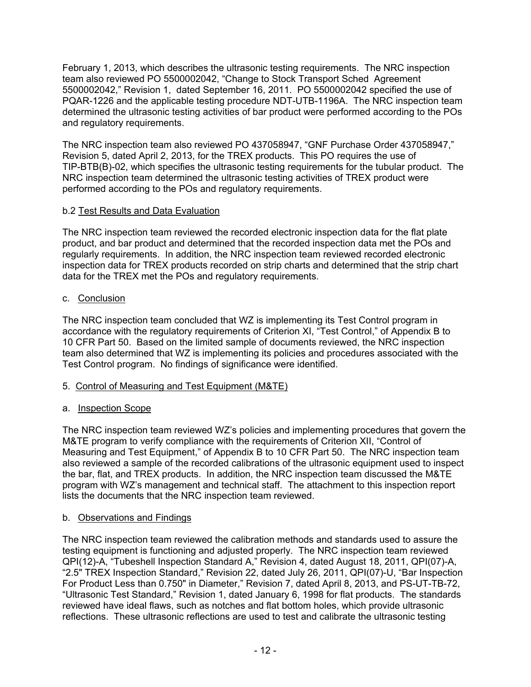February 1, 2013, which describes the ultrasonic testing requirements. The NRC inspection team also reviewed PO 5500002042, "Change to Stock Transport Sched Agreement 5500002042," Revision 1, dated September 16, 2011. PO 5500002042 specified the use of PQAR-1226 and the applicable testing procedure NDT-UTB-1196A. The NRC inspection team determined the ultrasonic testing activities of bar product were performed according to the POs and regulatory requirements.

The NRC inspection team also reviewed PO 437058947, "GNF Purchase Order 437058947," Revision 5, dated April 2, 2013, for the TREX products. This PO requires the use of TIP-BTB(B)-02, which specifies the ultrasonic testing requirements for the tubular product. The NRC inspection team determined the ultrasonic testing activities of TREX product were performed according to the POs and regulatory requirements.

## b.2 Test Results and Data Evaluation

The NRC inspection team reviewed the recorded electronic inspection data for the flat plate product, and bar product and determined that the recorded inspection data met the POs and regularly requirements. In addition, the NRC inspection team reviewed recorded electronic inspection data for TREX products recorded on strip charts and determined that the strip chart data for the TREX met the POs and regulatory requirements.

## c. Conclusion

The NRC inspection team concluded that WZ is implementing its Test Control program in accordance with the regulatory requirements of Criterion XI, "Test Control," of Appendix B to 10 CFR Part 50. Based on the limited sample of documents reviewed, the NRC inspection team also determined that WZ is implementing its policies and procedures associated with the Test Control program. No findings of significance were identified.

# 5. Control of Measuring and Test Equipment (M&TE)

# a. Inspection Scope

The NRC inspection team reviewed WZ's policies and implementing procedures that govern the M&TE program to verify compliance with the requirements of Criterion XII, "Control of Measuring and Test Equipment," of Appendix B to 10 CFR Part 50. The NRC inspection team also reviewed a sample of the recorded calibrations of the ultrasonic equipment used to inspect the bar, flat, and TREX products. In addition, the NRC inspection team discussed the M&TE program with WZ's management and technical staff. The attachment to this inspection report lists the documents that the NRC inspection team reviewed.

## b. Observations and Findings

The NRC inspection team reviewed the calibration methods and standards used to assure the testing equipment is functioning and adjusted properly. The NRC inspection team reviewed QPI(12)-A, "Tubeshell Inspection Standard A," Revision 4, dated August 18, 2011, QPI(07)-A, "2.5" TREX Inspection Standard," Revision 22, dated July 26, 2011, QPI(07)-U, "Bar Inspection For Product Less than 0.750" in Diameter," Revision 7, dated April 8, 2013, and PS-UT-TB-72, "Ultrasonic Test Standard," Revision 1, dated January 6, 1998 for flat products. The standards reviewed have ideal flaws, such as notches and flat bottom holes, which provide ultrasonic reflections. These ultrasonic reflections are used to test and calibrate the ultrasonic testing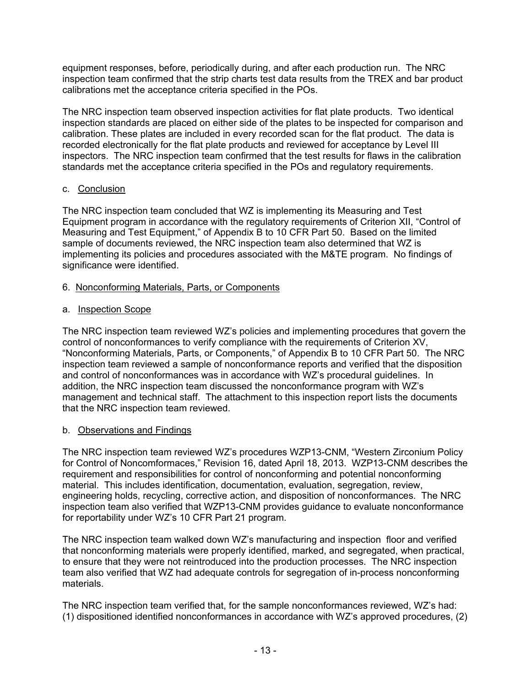equipment responses, before, periodically during, and after each production run. The NRC inspection team confirmed that the strip charts test data results from the TREX and bar product calibrations met the acceptance criteria specified in the POs.

The NRC inspection team observed inspection activities for flat plate products. Two identical inspection standards are placed on either side of the plates to be inspected for comparison and calibration. These plates are included in every recorded scan for the flat product. The data is recorded electronically for the flat plate products and reviewed for acceptance by Level III inspectors. The NRC inspection team confirmed that the test results for flaws in the calibration standards met the acceptance criteria specified in the POs and regulatory requirements.

#### c. Conclusion

The NRC inspection team concluded that WZ is implementing its Measuring and Test Equipment program in accordance with the regulatory requirements of Criterion XII, "Control of Measuring and Test Equipment," of Appendix B to 10 CFR Part 50. Based on the limited sample of documents reviewed, the NRC inspection team also determined that WZ is implementing its policies and procedures associated with the M&TE program. No findings of significance were identified.

#### 6. Nonconforming Materials, Parts, or Components

#### a. Inspection Scope

The NRC inspection team reviewed WZ's policies and implementing procedures that govern the control of nonconformances to verify compliance with the requirements of Criterion XV, "Nonconforming Materials, Parts, or Components," of Appendix B to 10 CFR Part 50. The NRC inspection team reviewed a sample of nonconformance reports and verified that the disposition and control of nonconformances was in accordance with WZ's procedural guidelines. In addition, the NRC inspection team discussed the nonconformance program with WZ's management and technical staff. The attachment to this inspection report lists the documents that the NRC inspection team reviewed.

## b. Observations and Findings

The NRC inspection team reviewed WZ's procedures WZP13-CNM, "Western Zirconium Policy for Control of Noncomformaces," Revision 16, dated April 18, 2013. WZP13-CNM describes the requirement and responsibilities for control of nonconforming and potential nonconforming material. This includes identification, documentation, evaluation, segregation, review, engineering holds, recycling, corrective action, and disposition of nonconformances. The NRC inspection team also verified that WZP13-CNM provides guidance to evaluate nonconformance for reportability under WZ's 10 CFR Part 21 program.

The NRC inspection team walked down WZ's manufacturing and inspection floor and verified that nonconforming materials were properly identified, marked, and segregated, when practical, to ensure that they were not reintroduced into the production processes. The NRC inspection team also verified that WZ had adequate controls for segregation of in-process nonconforming materials.

The NRC inspection team verified that, for the sample nonconformances reviewed, WZ's had: (1) dispositioned identified nonconformances in accordance with WZ's approved procedures, (2)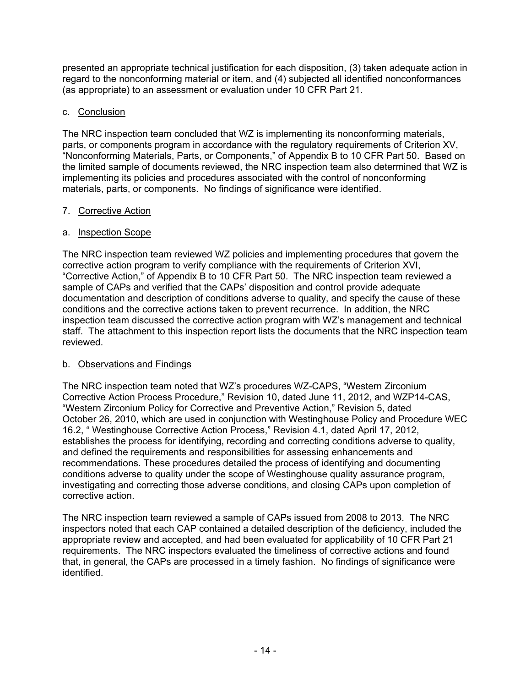presented an appropriate technical justification for each disposition, (3) taken adequate action in regard to the nonconforming material or item, and (4) subjected all identified nonconformances (as appropriate) to an assessment or evaluation under 10 CFR Part 21.

## c. Conclusion

The NRC inspection team concluded that WZ is implementing its nonconforming materials, parts, or components program in accordance with the regulatory requirements of Criterion XV, "Nonconforming Materials, Parts, or Components," of Appendix B to 10 CFR Part 50. Based on the limited sample of documents reviewed, the NRC inspection team also determined that WZ is implementing its policies and procedures associated with the control of nonconforming materials, parts, or components. No findings of significance were identified.

## 7. Corrective Action

## a. Inspection Scope

The NRC inspection team reviewed WZ policies and implementing procedures that govern the corrective action program to verify compliance with the requirements of Criterion XVI, "Corrective Action," of Appendix B to 10 CFR Part 50. The NRC inspection team reviewed a sample of CAPs and verified that the CAPs' disposition and control provide adequate documentation and description of conditions adverse to quality, and specify the cause of these conditions and the corrective actions taken to prevent recurrence. In addition, the NRC inspection team discussed the corrective action program with WZ's management and technical staff. The attachment to this inspection report lists the documents that the NRC inspection team reviewed.

# b. Observations and Findings

The NRC inspection team noted that WZ's procedures WZ-CAPS, "Western Zirconium Corrective Action Process Procedure," Revision 10, dated June 11, 2012, and WZP14-CAS, "Western Zirconium Policy for Corrective and Preventive Action," Revision 5, dated October 26, 2010, which are used in conjunction with Westinghouse Policy and Procedure WEC 16.2, " Westinghouse Corrective Action Process," Revision 4.1, dated April 17, 2012, establishes the process for identifying, recording and correcting conditions adverse to quality, and defined the requirements and responsibilities for assessing enhancements and recommendations. These procedures detailed the process of identifying and documenting conditions adverse to quality under the scope of Westinghouse quality assurance program, investigating and correcting those adverse conditions, and closing CAPs upon completion of corrective action.

The NRC inspection team reviewed a sample of CAPs issued from 2008 to 2013. The NRC inspectors noted that each CAP contained a detailed description of the deficiency, included the appropriate review and accepted, and had been evaluated for applicability of 10 CFR Part 21 requirements. The NRC inspectors evaluated the timeliness of corrective actions and found that, in general, the CAPs are processed in a timely fashion. No findings of significance were identified.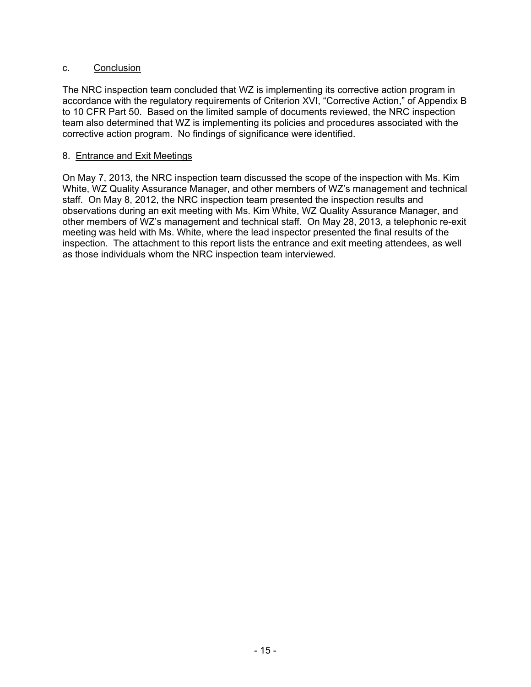#### c. Conclusion

The NRC inspection team concluded that WZ is implementing its corrective action program in accordance with the regulatory requirements of Criterion XVI, "Corrective Action," of Appendix B to 10 CFR Part 50. Based on the limited sample of documents reviewed, the NRC inspection team also determined that WZ is implementing its policies and procedures associated with the corrective action program. No findings of significance were identified.

#### 8. Entrance and Exit Meetings

On May 7, 2013, the NRC inspection team discussed the scope of the inspection with Ms. Kim White, WZ Quality Assurance Manager, and other members of WZ's management and technical staff. On May 8, 2012, the NRC inspection team presented the inspection results and observations during an exit meeting with Ms. Kim White, WZ Quality Assurance Manager, and other members of WZ's management and technical staff. On May 28, 2013, a telephonic re-exit meeting was held with Ms. White, where the lead inspector presented the final results of the inspection. The attachment to this report lists the entrance and exit meeting attendees, as well as those individuals whom the NRC inspection team interviewed.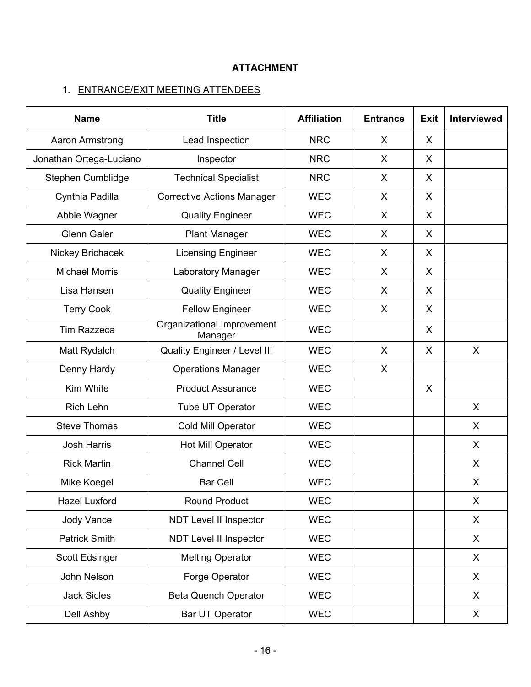# **ATTACHMENT**

# 1. ENTRANCE/EXIT MEETING ATTENDEES

| <b>Title</b><br><b>Name</b> |                                       | <b>Affiliation</b> | <b>Entrance</b> | <b>Exit</b> | <b>Interviewed</b> |
|-----------------------------|---------------------------------------|--------------------|-----------------|-------------|--------------------|
| Aaron Armstrong             | Lead Inspection                       | <b>NRC</b>         | X               | X           |                    |
| Jonathan Ortega-Luciano     | Inspector                             | <b>NRC</b>         | X               | X           |                    |
| Stephen Cumblidge           | <b>Technical Specialist</b>           | <b>NRC</b>         | X               | X           |                    |
| Cynthia Padilla             | <b>Corrective Actions Manager</b>     | <b>WEC</b>         | X               | X           |                    |
| Abbie Wagner                | <b>Quality Engineer</b>               | <b>WEC</b>         | X               | X           |                    |
| <b>Glenn Galer</b>          | <b>Plant Manager</b>                  | <b>WEC</b>         | X               | X           |                    |
| Nickey Brichacek            | <b>Licensing Engineer</b>             | <b>WEC</b>         | X               | X           |                    |
| <b>Michael Morris</b>       | Laboratory Manager                    | <b>WEC</b>         | X               | X           |                    |
| Lisa Hansen                 | <b>Quality Engineer</b>               | <b>WEC</b>         | X               | X           |                    |
| <b>Terry Cook</b>           | <b>Fellow Engineer</b>                | <b>WEC</b>         | X               | X           |                    |
| <b>Tim Razzeca</b>          | Organizational Improvement<br>Manager | <b>WEC</b>         |                 | X           |                    |
| Matt Rydalch                | <b>Quality Engineer / Level III</b>   | <b>WEC</b>         | X               | X           | $\mathsf{X}$       |
| Denny Hardy                 | <b>Operations Manager</b>             | <b>WEC</b>         | X               |             |                    |
| Kim White                   | <b>Product Assurance</b>              | <b>WEC</b>         |                 | X           |                    |
| <b>Rich Lehn</b>            | Tube UT Operator                      | <b>WEC</b>         |                 |             | X                  |
| <b>Steve Thomas</b>         | Cold Mill Operator                    | <b>WEC</b>         |                 |             | X                  |
| <b>Josh Harris</b>          | Hot Mill Operator                     | <b>WEC</b>         |                 |             | X                  |
| <b>Rick Martin</b>          | <b>Channel Cell</b>                   | <b>WEC</b>         |                 |             | X                  |
| Mike Koegel                 | <b>Bar Cell</b>                       | <b>WEC</b>         |                 |             | X                  |
| <b>Hazel Luxford</b>        | <b>Round Product</b>                  | <b>WEC</b>         |                 |             | X                  |
| Jody Vance                  | NDT Level II Inspector                | <b>WEC</b>         |                 |             | X                  |
| <b>Patrick Smith</b>        | NDT Level II Inspector                | <b>WEC</b>         |                 |             | X                  |
| Scott Edsinger              | <b>Melting Operator</b>               | <b>WEC</b>         |                 |             | X                  |
| John Nelson                 | Forge Operator                        | <b>WEC</b>         |                 |             | X                  |
| <b>Jack Sicles</b>          | <b>Beta Quench Operator</b>           | <b>WEC</b>         |                 |             | X                  |
| Dell Ashby                  | Bar UT Operator                       | <b>WEC</b>         |                 |             | X                  |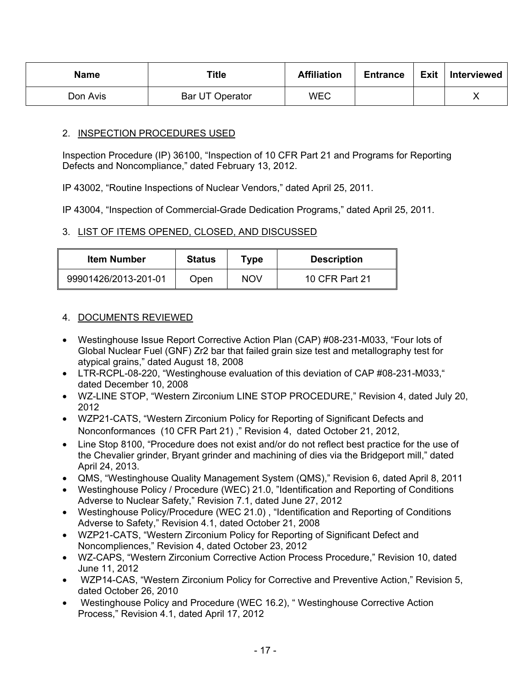| <b>Name</b> | <b>Title</b>    | <b>Affiliation</b> | <b>Entrance</b> | <b>Exit</b> | Interviewed |
|-------------|-----------------|--------------------|-----------------|-------------|-------------|
| Don Avis    | Bar UT Operator | <b>WEC</b>         |                 |             |             |

## 2. INSPECTION PROCEDURES USED

Inspection Procedure (IP) 36100, "Inspection of 10 CFR Part 21 and Programs for Reporting Defects and Noncompliance," dated February 13, 2012.

IP 43002, "Routine Inspections of Nuclear Vendors," dated April 25, 2011.

IP 43004, "Inspection of Commercial-Grade Dedication Programs," dated April 25, 2011.

## 3. LIST OF ITEMS OPENED, CLOSED, AND DISCUSSED

| ltem Number          | <b>Status</b> | Type       | <b>Description</b> |
|----------------------|---------------|------------|--------------------|
| 99901426/2013-201-01 | Open          | <b>NOV</b> | 10 CFR Part 21     |

## 4. DOCUMENTS REVIEWED

- Westinghouse Issue Report Corrective Action Plan (CAP) #08-231-M033, "Four lots of Global Nuclear Fuel (GNF) Zr2 bar that failed grain size test and metallography test for atypical grains," dated August 18, 2008
- LTR-RCPL-08-220, "Westinghouse evaluation of this deviation of CAP #08-231-M033," dated December 10, 2008
- WZ-LINE STOP, "Western Zirconium LINE STOP PROCEDURE," Revision 4, dated July 20, 2012
- WZP21-CATS, "Western Zirconium Policy for Reporting of Significant Defects and Nonconformances (10 CFR Part 21) ," Revision 4, dated October 21, 2012,
- Line Stop 8100, "Procedure does not exist and/or do not reflect best practice for the use of the Chevalier grinder, Bryant grinder and machining of dies via the Bridgeport mill," dated April 24, 2013.
- QMS, "Westinghouse Quality Management System (QMS)," Revision 6, dated April 8, 2011
- Westinghouse Policy / Procedure (WEC) 21.0, "Identification and Reporting of Conditions Adverse to Nuclear Safety," Revision 7.1, dated June 27, 2012
- Westinghouse Policy/Procedure (WEC 21.0), "Identification and Reporting of Conditions Adverse to Safety," Revision 4.1, dated October 21, 2008
- WZP21-CATS, "Western Zirconium Policy for Reporting of Significant Defect and Noncompliences," Revision 4, dated October 23, 2012
- WZ-CAPS, "Western Zirconium Corrective Action Process Procedure," Revision 10, dated June 11, 2012
- WZP14-CAS, "Western Zirconium Policy for Corrective and Preventive Action," Revision 5, dated October 26, 2010
- Westinghouse Policy and Procedure (WEC 16.2), " Westinghouse Corrective Action Process," Revision 4.1, dated April 17, 2012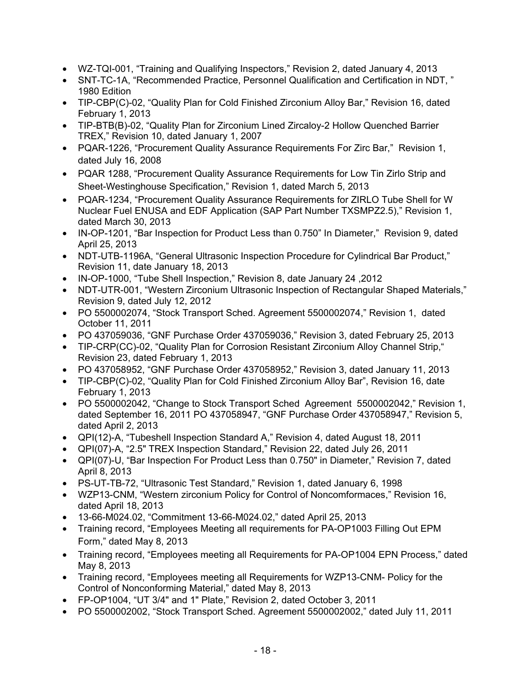- WZ-TQI-001, "Training and Qualifying Inspectors," Revision 2, dated January 4, 2013
- SNT-TC-1A, "Recommended Practice, Personnel Qualification and Certification in NDT, " 1980 Edition
- TIP-CBP(C)-02, "Quality Plan for Cold Finished Zirconium Alloy Bar," Revision 16, dated February 1, 2013
- TIP-BTB(B)-02, "Quality Plan for Zirconium Lined Zircaloy-2 Hollow Quenched Barrier TREX," Revision 10, dated January 1, 2007
- PQAR-1226, "Procurement Quality Assurance Requirements For Zirc Bar," Revision 1, dated July 16, 2008
- PQAR 1288, "Procurement Quality Assurance Requirements for Low Tin Zirlo Strip and Sheet-Westinghouse Specification," Revision 1, dated March 5, 2013
- PQAR-1234, "Procurement Quality Assurance Requirements for ZIRLO Tube Shell for W Nuclear Fuel ENUSA and EDF Application (SAP Part Number TXSMPZ2.5)," Revision 1, dated March 30, 2013
- IN-OP-1201, "Bar Inspection for Product Less than 0.750" In Diameter," Revision 9, dated April 25, 2013
- NDT-UTB-1196A, "General Ultrasonic Inspection Procedure for Cylindrical Bar Product," Revision 11, date January 18, 2013
- IN-OP-1000, "Tube Shell Inspection," Revision 8, date January 24 ,2012
- NDT-UTR-001, "Western Zirconium Ultrasonic Inspection of Rectangular Shaped Materials," Revision 9, dated July 12, 2012
- PO 5500002074, "Stock Transport Sched. Agreement 5500002074," Revision 1, dated October 11, 2011
- PO 437059036, "GNF Purchase Order 437059036," Revision 3, dated February 25, 2013
- TIP-CRP(CC)-02, "Quality Plan for Corrosion Resistant Zirconium Alloy Channel Strip," Revision 23, dated February 1, 2013
- PO 437058952, "GNF Purchase Order 437058952," Revision 3, dated January 11, 2013
- TIP-CBP(C)-02, "Quality Plan for Cold Finished Zirconium Alloy Bar", Revision 16, date February 1, 2013
- PO 5500002042, "Change to Stock Transport Sched Agreement 5500002042," Revision 1, dated September 16, 2011 PO 437058947, "GNF Purchase Order 437058947," Revision 5, dated April 2, 2013
- QPI(12)-A, "Tubeshell Inspection Standard A," Revision 4, dated August 18, 2011
- QPI(07)-A, "2.5" TREX Inspection Standard," Revision 22, dated July 26, 2011
- QPI(07)-U, "Bar Inspection For Product Less than 0.750" in Diameter," Revision 7, dated April 8, 2013
- PS-UT-TB-72, "Ultrasonic Test Standard," Revision 1, dated January 6, 1998
- WZP13-CNM, "Western zirconium Policy for Control of Noncomformaces," Revision 16, dated April 18, 2013
- 13-66-M024.02, "Commitment 13-66-M024.02," dated April 25, 2013
- Training record, "Employees Meeting all requirements for PA-OP1003 Filling Out EPM Form," dated May 8, 2013
- Training record, "Employees meeting all Requirements for PA-OP1004 EPN Process," dated May 8, 2013
- Training record, "Employees meeting all Requirements for WZP13-CNM- Policy for the Control of Nonconforming Material," dated May 8, 2013
- FP-OP1004, "UT 3/4" and 1" Plate," Revision 2, dated October 3, 2011
- PO 5500002002, "Stock Transport Sched. Agreement 5500002002," dated July 11, 2011